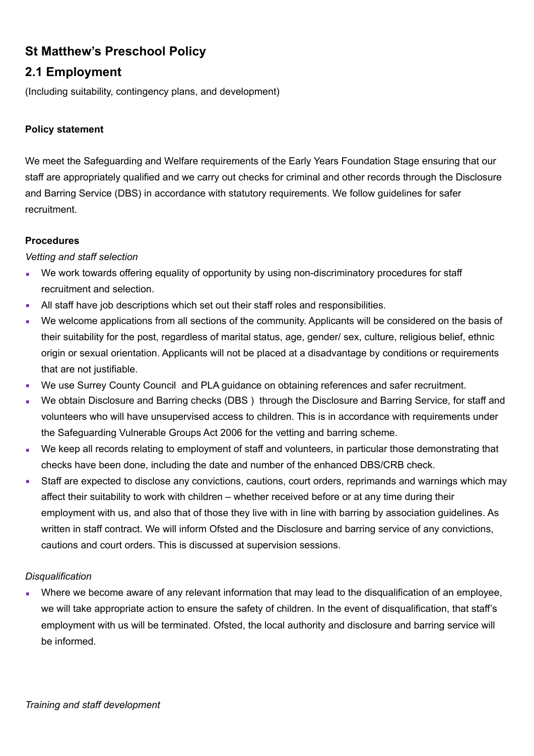# **St Matthew's Preschool Policy**

## **2.1 Employment**

(Including suitability, contingency plans, and development)

## **Policy statement**

We meet the Safeguarding and Welfare requirements of the Early Years Foundation Stage ensuring that our staff are appropriately qualified and we carry out checks for criminal and other records through the Disclosure and Barring Service (DBS) in accordance with statutory requirements. We follow guidelines for safer recruitment.

#### **Procedures**

#### *Vetting and staff selection*

- We work towards offering equality of opportunity by using non-discriminatory procedures for staff recruitment and selection.
- All staff have job descriptions which set out their staff roles and responsibilities.
- We welcome applications from all sections of the community. Applicants will be considered on the basis of their suitability for the post, regardless of marital status, age, gender/ sex, culture, religious belief, ethnic origin or sexual orientation. Applicants will not be placed at a disadvantage by conditions or requirements that are not justifiable.
- We use Surrey County Council and PLA guidance on obtaining references and safer recruitment.
- We obtain Disclosure and Barring checks (DBS) through the Disclosure and Barring Service, for staff and volunteers who will have unsupervised access to children. This is in accordance with requirements under the Safeguarding Vulnerable Groups Act 2006 for the vetting and barring scheme.
- We keep all records relating to employment of staff and volunteers, in particular those demonstrating that checks have been done, including the date and number of the enhanced DBS/CRB check.
- Staff are expected to disclose any convictions, cautions, court orders, reprimands and warnings which may affect their suitability to work with children – whether received before or at any time during their employment with us, and also that of those they live with in line with barring by association guidelines. As written in staff contract. We will inform Ofsted and the Disclosure and barring service of any convictions, cautions and court orders. This is discussed at supervision sessions.

## *Disqualification*

Where we become aware of any relevant information that may lead to the disqualification of an employee, we will take appropriate action to ensure the safety of children. In the event of disqualification, that staff's employment with us will be terminated. Ofsted, the local authority and disclosure and barring service will be informed.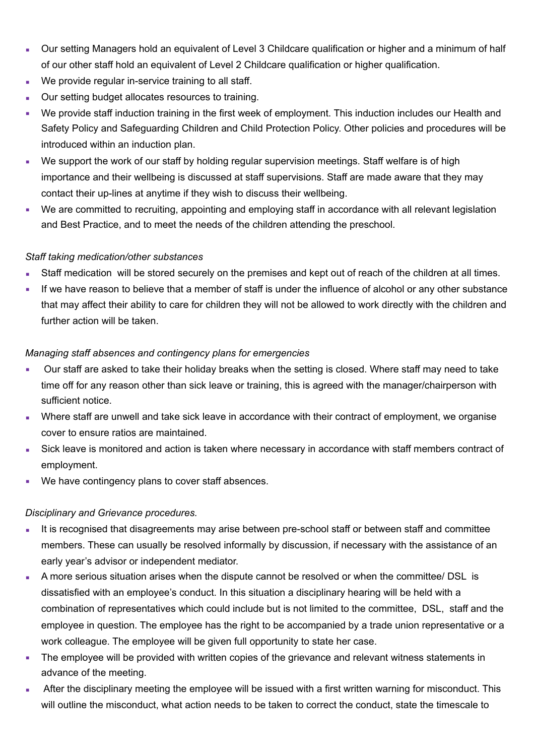- Our setting Managers hold an equivalent of Level 3 Childcare qualification or higher and a minimum of half of our other staff hold an equivalent of Level 2 Childcare qualification or higher qualification.
- We provide regular in-service training to all staff.
- Our setting budget allocates resources to training.
- We provide staff induction training in the first week of employment. This induction includes our Health and Safety Policy and Safeguarding Children and Child Protection Policy. Other policies and procedures will be introduced within an induction plan.
- We support the work of our staff by holding regular supervision meetings. Staff welfare is of high importance and their wellbeing is discussed at staff supervisions. Staff are made aware that they may contact their up-lines at anytime if they wish to discuss their wellbeing.
- We are committed to recruiting, appointing and employing staff in accordance with all relevant legislation and Best Practice, and to meet the needs of the children attending the preschool.

#### *Staff taking medication/other substances*

- Staff medication will be stored securely on the premises and kept out of reach of the children at all times.
- **■** If we have reason to believe that a member of staff is under the influence of alcohol or any other substance that may affect their ability to care for children they will not be allowed to work directly with the children and further action will be taken.

#### *Managing staff absences and contingency plans for emergencies*

- Our staff are asked to take their holiday breaks when the setting is closed. Where staff may need to take time off for any reason other than sick leave or training, this is agreed with the manager/chairperson with sufficient notice.
- Where staff are unwell and take sick leave in accordance with their contract of employment, we organise cover to ensure ratios are maintained.
- Sick leave is monitored and action is taken where necessary in accordance with staff members contract of employment.
- We have contingency plans to cover staff absences.

## *Disciplinary and Grievance procedures.*

- It is recognised that disagreements may arise between pre-school staff or between staff and committee members. These can usually be resolved informally by discussion, if necessary with the assistance of an early year's advisor or independent mediator.
- **A more serious situation arises when the dispute cannot be resolved or when the committee/ DSL is** dissatisfied with an employee's conduct. In this situation a disciplinary hearing will be held with a combination of representatives which could include but is not limited to the committee, DSL, staff and the employee in question. The employee has the right to be accompanied by a trade union representative or a work colleague. The employee will be given full opportunity to state her case.
- The employee will be provided with written copies of the grievance and relevant witness statements in advance of the meeting.
- After the disciplinary meeting the employee will be issued with a first written warning for misconduct. This will outline the misconduct, what action needs to be taken to correct the conduct, state the timescale to